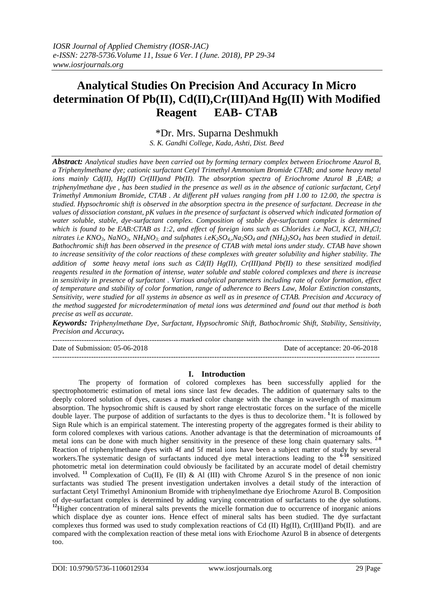# **Analytical Studies On Precision And Accuracy In Micro determination Of Pb(II), Cd(II),Cr(III)And Hg(II) With Modified Reagent EAB- CTAB**

\*Dr. Mrs. Suparna Deshmukh

*S. K. Gandhi College, Kada, Ashti, Dist. Beed*

*Abstract: Analytical studies have been carried out by forming ternary complex between Eriochrome Azurol B, a Triphenylmethane dye; cationic surfactant Cetyl Trimethyl Ammonium Bromide CTAB; and some heavy metal ions mainly Cd(II), Hg(II) Cr(III)and Pb(II). The absorption spectra of Eriochrome Azurol B ,EAB; a triphenylmethane dye , has been studied in the presence as well as in the absence of cationic surfactant, Cetyl Trimethyl Ammonium Bromide, CTAB . At different pH values ranging from pH 1.00 to 12.00, the spectra is studied. Hypsochromic shift is observed in the absorption spectra in the presence of surfactant. Decrease in the values of dissociation constant, pK values in the presence of surfactant is observed which indicated formation of water soluble, stable, dye-surfactant complex. Composition of stable dye-surfactant complex is determined which is found to be EAB:CTAB as 1:2, and effect of foreign ions such as Chlorides i.e NaCl, KCl, NH4Cl;*  nitrates i.e KNO<sub>3</sub>, NaNO<sub>3</sub>, NH<sub>4</sub>NO<sub>3</sub> and sulphates i.eK<sub>2</sub>SO<sub>4</sub>, Na<sub>2</sub>SO<sub>4</sub> and (NH<sub>4</sub>)<sub>2</sub>SO<sub>4</sub> has been studied in detail. *Bathochromic shift has been observed in the presence of CTAB with metal ions under study. CTAB have shown to increase sensitivity of the color reactions of these complexes with greater solubility and higher stability. The addition of some heavy metal ions such as Cd(II) Hg(II), Cr(III)and Pb(II) to these sensitized modified reagents resulted in the formation of intense, water soluble and stable colored complexes and there is increase in sensitivity in presence of surfactant . Various analytical parameters including rate of color formation, effect of temperature and stability of color formation, range of adherence to Beers Law, Molar Extinction constants, Sensitivity, were studied for all systems in absence as well as in presence of CTAB. Precision and Accuracy of the method suggested for microdetermination of metal ions was determined and found out that method is both precise as well as accurate.* 

*Keywords: Triphenylmethane Dye, Surfactant, Hypsochromic Shift, Bathochromic Shift, Stability, Sensitivity, Precision and Accuracy. ---------------------------------------------------------------------------------------------------------------------------------------*

Date of Submission: 05-06-2018 ---------------------------------------------------------------------------------------------------------------------------------------

# **I. Introduction**

The property of formation of colored complexes has been successfully applied for the spectrophotometric estimation of metal ions since last few decades. The addition of quaternary salts to the deeply colored solution of dyes, causes a marked color change with the change in wavelength of maximum absorption. The hypsochromic shift is caused by short range electrostatic forces on the surface of the micelle double layer. The purpose of addition of surfactants to the dyes is thus to decolorize them. **1**. It is followed by Sign Rule which is an empirical statement. The interesting property of the aggregates formed is their ability to form colored complexes with various cations. Another advantage is that the determination of microamounts of metal ions can be done with much higher sensitivity in the presence of these long chain quaternary salts. **2-8** Reaction of triphenylmethane dyes with 4f and 5f metal ions have been a subject matter of study by several workers.The systematic design of surfactants induced dye metal interactions leading to the **6-10** sensitized photometric metal ion determination could obviously be facilitated by an accurate model of detail chemistry involved. <sup>11</sup> Complexation of Cu(II), Fe (II) & Al (III) with Chrome Azurol S in the presence of non ionic surfactants was studied The present investigation undertaken involves a detail study of the interaction of surfactant Cetyl Trimethyl Aminonium Bromide with triphenylmethane dye Eriochrome Azurol B. Composition of dye-surfactant complex is determined by adding varying concentration of surfactants to the dye solutions. <sup>12</sup>Higher concentration of mineral salts prevents the micelle formation due to occurrence of inorganic anions which displace dye as counter ions. Hence effect of mineral salts has been studied. The dye surfactant complexes thus formed was used to study complexation reactions of Cd (II) Hg(II), Cr(III)and Pb(II). and are compared with the complexation reaction of these metal ions with Eriochome Azurol B in absence of detergents too.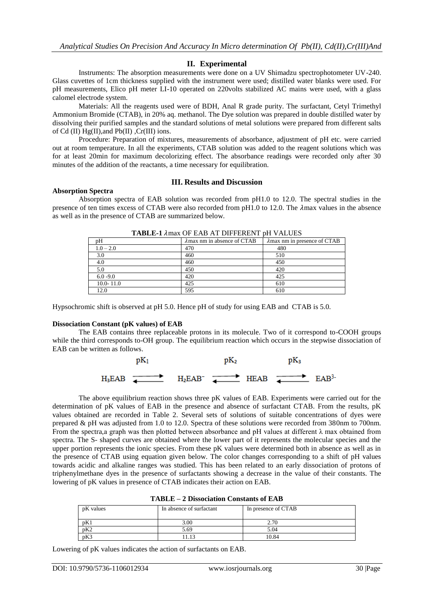## **II. Experimental**

Instruments: The absorption measurements were done on a UV Shimadzu spectrophotometer UV-240. Glass cuvettes of 1cm thickness supplied with the instrument were used; distilled water blanks were used. For pH measurements, Elico pH meter LI-10 operated on 220volts stabilized AC mains were used, with a glass calomel electrode system.

Materials: All the reagents used were of BDH, Anal R grade purity. The surfactant, Cetyl Trimethyl Ammonium Bromide (CTAB), in 20% aq. methanol. The Dye solution was prepared in double distilled water by dissolving their purified samples and the standard solutions of metal solutions were prepared from different salts of Cd (II)  $Hg(II)$ , and Pb(II) , Cr(III) ions.

Procedure: Preparation of mixtures, measurements of absorbance, adjustment of pH etc. were carried out at room temperature. In all the experiments, CTAB solution was added to the reagent solutions which was for at least 20min for maximum decolorizing effect. The absorbance readings were recorded only after 30 minutes of the addition of the reactants, a time necessary for equilibration.

#### **III. Results and Discussion**

#### **Absorption Spectra**

Absorption spectra of EAB solution was recorded from pH1.0 to 12.0. The spectral studies in the presence of ten times excess of CTAB were also recorded from  $pH1.0$  to 12.0. The  $\lambda$ max values in the absence as well as in the presence of CTAB are summarized below.

| pH            | $\lambda$ max nm in absence of CTAB | $\lambda$ max nm in presence of CTAB |  |  |  |
|---------------|-------------------------------------|--------------------------------------|--|--|--|
| $1.0 - 2.0$   | 470                                 | 480                                  |  |  |  |
| 3.0           | 460                                 | 510                                  |  |  |  |
| 4.0           | 460                                 | 450                                  |  |  |  |
| 5.0           | 450                                 | 420                                  |  |  |  |
| $6.0 - 9.0$   | 420                                 | 425                                  |  |  |  |
| $10.0 - 11.0$ | 425                                 | 610                                  |  |  |  |
| 12.0          | 595                                 | 610                                  |  |  |  |

TABLE-1  $\lambda$ max OF EAB AT DIFFERENT pH VALUES

Hypsochromic shift is observed at pH 5.0. Hence pH of study for using EAB and CTAB is 5.0.

## **Dissociation Constant (pK values) of EAB**

The EAB contains three replaceable protons in its molecule. Two of it correspond to-COOH groups while the third corresponds to-OH group. The equilibrium reaction which occurs in the stepwise dissociation of EAB can be written as follows.



The above equilibrium reaction shows three pK values of EAB. Experiments were carried out for the determination of pK values of EAB in the presence and absence of surfactant CTAB. From the results, pK values obtained are recorded in Table 2. Several sets of solutions of suitable concentrations of dyes were prepared & pH was adjusted from 1.0 to 12.0. Spectra of these solutions were recorded from 380nm to 700nm. From the spectra,a graph was then plotted between absorbance and pH values at different  $\lambda$  max obtained from spectra. The S- shaped curves are obtained where the lower part of it represents the molecular species and the upper portion represents the ionic species. From these pK values were determined both in absence as well as in the presence of CTAB using equation given below. The color changes corresponding to a shift of pH values towards acidic and alkaline ranges was studied. This has been related to an early dissociation of protons of triphenylmethane dyes in the presence of surfactants showing a decrease in the value of their constants. The lowering of pK values in presence of CTAB indicates their action on EAB.

| pK values | In absence of surfactant | In presence of CTAB |
|-----------|--------------------------|---------------------|
| pK1       | 3.00                     | 2.70                |
| pK2       | 5.69                     | 5.04                |
| pK3       | .13                      | 10.84               |

# **TABLE – 2 Dissociation Constants of EAB**

Lowering of pK values indicates the action of surfactants on EAB.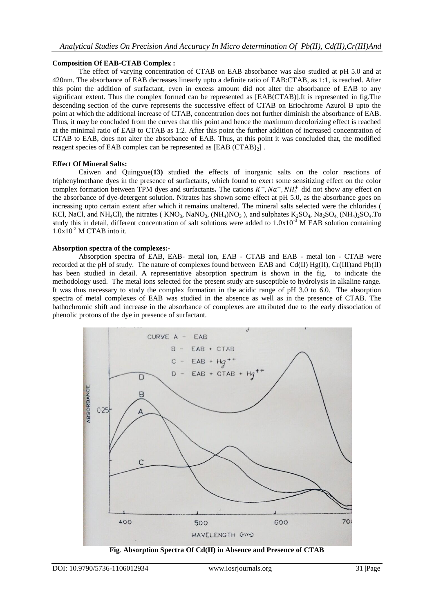## **Composition Of EAB-CTAB Complex :**

The effect of varying concentration of CTAB on EAB absorbance was also studied at pH 5.0 and at 420nm. The absorbance of EAB decreases linearly upto a definite ratio of EAB:CTAB, as 1:1, is reached. After this point the addition of surfactant, even in excess amount did not alter the absorbance of EAB to any significant extent. Thus the complex formed can be represented as [EAB(CTAB)].It is represented in fig.The descending section of the curve represents the successive effect of CTAB on Eriochrome Azurol B upto the point at which the additional increase of CTAB, concentration does not further diminish the absorbance of EAB. Thus, it may be concluded from the curves that this point and hence the maximum decolorizing effect is reached at the minimal ratio of EAB to CTAB as 1:2. After this point the further addition of increased concentration of CTAB to EAB, does not alter the absorbance of EAB. Thus, at this point it was concluded that, the modified reagent species of EAB complex can be represented as  $[EAB (CTAB)<sub>2</sub>]$ .

## **Effect Of Mineral Salts:**

Caiwen and Quingyue(**13)** studied the effects of inorganic salts on the color reactions of triphenylmethane dyes in the presence of surfactants, which found to exert some sensitizing effect on the color complex formation between TPM dyes and surfactants. The cations  $K^+$ ,  $Na^+$ ,  $NH_4^+$  did not show any effect on the absorbance of dye-detergent solution. Nitrates has shown some effect at pH 5.0, as the absorbance goes on increasing upto certain extent after which it remains unaltered. The mineral salts selected were the chlorides ( KCl, NaCl, and NH<sub>4</sub>Cl), the nitrates ( $\rm{KNO_3}$ , NaNO<sub>3</sub>, (NH<sub>4</sub>)NO<sub>3</sub>), and sulphates K<sub>2</sub>SO<sub>4</sub>, Na<sub>2</sub>SO<sub>4</sub> (NH<sub>4</sub>)<sub>2</sub>SO<sub>4</sub>.To study this in detail, different concentration of salt solutions were added to  $1.0x10^{-3}$  M EAB solution containing  $1.0x10^{-2}$  M CTAB into it.

## **Absorption spectra of the complexes:-**

Absorption spectra of EAB, EAB- metal ion, EAB - CTAB and EAB - metal ion - CTAB were recorded at the pH of study. The nature of complexes found between EAB and Cd(II) Hg(II), Cr(III)and Pb(II) has been studied in detail. A representative absorption spectrum is shown in the fig. to indicate the methodology used. The metal ions selected for the present study are susceptible to hydrolysis in alkaline range. It was thus necessary to study the complex formation in the acidic range of pH 3.0 to 6.0. The absorption spectra of metal complexes of EAB was studied in the absence as well as in the presence of CTAB. The bathochromic shift and increase in the absorbance of complexes are attributed due to the early dissociation of phenolic protons of the dye in presence of surfactant.



**Fig**. **Absorption Spectra Of Cd(II) in Absence and Presence of CTAB**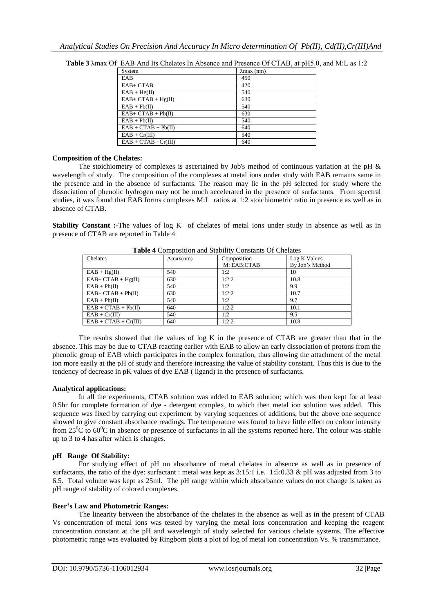| EAB<br>450<br>$EAB+CTAB$<br>420<br>$EAB + Hg(II)$<br>540<br>$EAB + CTAB + Hg(II)$<br>630<br>$EAB + Pb(II)$<br>540<br>$EAB + CTAB + Pb(II)$<br>630<br>$EAB + Pb(II)$<br>540<br>$EAB + CTAB + Pb(II)$<br>640<br>$EAB + Cr(III)$<br>540<br>$EAB + CTAB + Cr(III)$<br>640 | System | $\lambda$ max $(nm)$ |
|-----------------------------------------------------------------------------------------------------------------------------------------------------------------------------------------------------------------------------------------------------------------------|--------|----------------------|
|                                                                                                                                                                                                                                                                       |        |                      |
|                                                                                                                                                                                                                                                                       |        |                      |
|                                                                                                                                                                                                                                                                       |        |                      |
|                                                                                                                                                                                                                                                                       |        |                      |
|                                                                                                                                                                                                                                                                       |        |                      |
|                                                                                                                                                                                                                                                                       |        |                      |
|                                                                                                                                                                                                                                                                       |        |                      |
|                                                                                                                                                                                                                                                                       |        |                      |
|                                                                                                                                                                                                                                                                       |        |                      |
|                                                                                                                                                                                                                                                                       |        |                      |

**Table 3** λmax Of EAB And Its Chelates In Absence and Presence Of CTAB, at pH5.0, and M:L as 1:2

## **Composition of the Chelates:**

The stoichiometry of complexes is ascertained by Job's method of continuous variation at the pH  $\&$ wavelength of study. The composition of the complexes at metal ions under study with EAB remains same in the presence and in the absence of surfactants. The reason may lie in the pH selected for study where the dissociation of phenolic hydrogen may not be much accelerated in the presence of surfactants. From spectral studies, it was found that EAB forms complexes M:L ratios at 1:2 stoichiometric ratio in presence as well as in absence of CTAB.

**Stability Constant :-**The values of log K of chelates of metal ions under study in absence as well as in presence of CTAB are reported in Table 4

| $\text{Amax}(nm)$ | Composition |                 |
|-------------------|-------------|-----------------|
|                   |             | Log K Values    |
|                   | M: EAB:CTAB | By Job's Method |
| 540               | 1:2         | 10              |
| 630               | 1:2:2       | 10.8            |
| 540               | 1:2         | 9.9             |
| 630               | 1:2:2       | 10.7            |
| 540               | 1:2         | 9.7             |
| 640               | 1:2:2       | 10.1            |
| 540               | 1:2         | 9.5             |
| 640               | 1:2:2       | 10.8            |
|                   |             |                 |

**Table 4** Composition and Stability Constants Of Chelates

The results showed that the values of log K in the presence of CTAB are greater than that in the absence. This may be due to CTAB reacting earlier with EAB to allow an early dissociation of protons from the phenolic group of EAB which participates in the complex formation, thus allowing the attachment of the metal ion more easily at the pH of study and therefore increasing the value of stability constant. Thus this is due to the tendency of decrease in pK values of dye EAB ( ligand) in the presence of surfactants.

# **Analytical applications:**

In all the experiments, CTAB solution was added to EAB solution; which was then kept for at least 0.5hr for complete formation of dye - detergent complex, to which then metal ion solution was added. This sequence was fixed by carrying out experiment by varying sequences of additions, but the above one sequence showed to give constant absorbance readings. The temperature was found to have little effect on colour intensity from  $25^{\circ}$ C to  $60^{\circ}$ C in absence or presence of surfactants in all the systems reported here. The colour was stable up to 3 to 4 has after which is changes.

## **pH Range Of Stability:**

For studying effect of pH on absorbance of metal chelates in absence as well as in presence of surfactants, the ratio of the dye: surfactant : metal was kept as 3:15:1 i.e. 1:5:0.33 & pH was adjusted from 3 to 6.5. Total volume was kept as 25ml. The pH range within which absorbance values do not change is taken as pH range of stability of colored complexes.

## **Beer's Law and Photometric Ranges:**

The linearity between the absorbance of the chelates in the absence as well as in the present of CTAB Vs concentration of metal ions was tested by varying the metal ions concentration and keeping the reagent concentration constant at the pH and wavelength of study selected for various chelate systems. The effective photometric range was evaluated by Ringbom plots a plot of log of metal ion concentration Vs. % transmittance.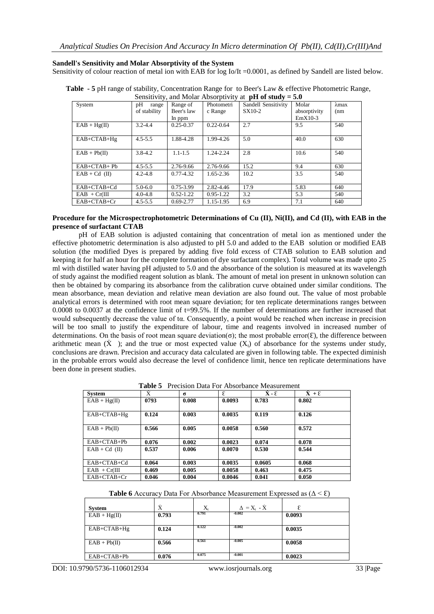**Sandell's Sensitivity and Molar Absorptivity of the System**

Sensitivity of colour reaction of metal ion with EAB for log Io/It =0.0001, as defined by Sandell are listed below.

| Sensitivity, and Molar Absorptivity at $pH$ of study = 5.0 |              |               |               |                     |              |               |
|------------------------------------------------------------|--------------|---------------|---------------|---------------------|--------------|---------------|
| System                                                     | pH<br>range  | Range of      | Photometri    | Sandell Sensitivity | Molar        | $\lambda$ max |
|                                                            | of stability | Beer's law    | c Range       | SX10-2              | absorptivity | (nm)          |
|                                                            |              | In ppm        |               |                     | $EmX10-3$    |               |
| $EAB + Hg(II)$                                             | $3.2 - 4.4$  | $0.25 - 0.37$ | $0.22 - 0.64$ | 2.7                 | 9.5          | 540           |
|                                                            |              |               |               |                     |              |               |
| EAB+CTAB+Hg                                                | $4.5 - 5.5$  | 1.88-4.28     | 1.99-4.26     | 5.0                 | 40.0         | 630           |
|                                                            |              |               |               |                     |              |               |
| $EAB + Pb(II)$                                             | $3.8 - 4.2$  | $1.1 - 1.5$   | 1.24-2.24     | 2.8                 | 10.6         | 540           |
|                                                            |              |               |               |                     |              |               |
| $EAB+CTAB+Pb$                                              | $4.5 - 5.5$  | 2.76-9.66     | 2.76-9.66     | 15.2                | 9.4          | 630           |
| $EAB + Cd$ (II)                                            | $4.2 - 4.8$  | $0.77 - 4.32$ | 1.65-2.36     | 10.2                | 3.5          | 540           |
|                                                            |              |               |               |                     |              |               |
| EAB+CTAB+Cd                                                | $5.0 - 6.0$  | 0.75-3.99     | 2.82-4.46     | 17.9                | 5.83         | 640           |
| $EAB + Cr(III)$                                            | $4.0 - 4.8$  | $0.52 - 1.22$ | $0.95 - 1.22$ | 3.2                 | 5.3          | 540           |
| EAB+CTAB+Cr                                                | $4.5 - 5.5$  | $0.69 - 2.77$ | 1.15-1.95     | 6.9                 | 7.1          | 640           |

**Table - 5** pH range of stability, Concentration Range for to Beer's Law & effective Photometric Range,

## **Procedure for the Microspectrophotometric Determinations of Cu (II), Ni(II), and Cd (II), with EAB in the presence of surfactant CTAB**

pH of EAB solution is adjusted containing that concentration of metal ion as mentioned under the effective photometric determination is also adjusted to pH 5.0 and added to the EAB solution or modified EAB solution (the modified Dyes is prepared by adding five fold excess of CTAB solution to EAB solution and keeping it for half an hour for the complete formation of dye surfactant complex). Total volume was made upto 25 ml with distilled water having pH adjusted to 5.0 and the absorbance of the solution is measured at its wavelength of study against the modified reagent solution as blank. The amount of metal ion present in unknown solution can then be obtained by comparing its absorbance from the calibration curve obtained under similar conditions. The mean absorbance, mean deviation and relative mean deviation are also found out. The value of most probable analytical errors is determined with root mean square deviation; for ten replicate determinations ranges between 0.0008 to 0.0037 at the confidence limit of t=99.5%. If the number of determinations are further increased that would subsequently decrease the value of tα. Consequently, a point would be reached when increase in precision will be too small to justify the expenditure of labour, time and reagents involved in increased number of determinations. On the basis of root mean square deviation( $\sigma$ ); the most probable error( $\epsilon$ ), the difference between arithmetic mean  $(X)$ ; and the true or most expected value  $(X<sub>t</sub>)$  of absorbance for the systems under study, conclusions are drawn. Precision and accuracy data calculated are given in following table. The expected diminish in the probable errors would also decrease the level of confidence limit, hence ten replicate determinations have been done in present studies.

**Table 5** Precision Data For Absorbance Measurement

| <b>System</b>   | Ý     | $\sigma$ | ε      | $\dot{\mathbf{X}}$ - $\mathbf{E}$ | $\dot{X} + \varepsilon$ |
|-----------------|-------|----------|--------|-----------------------------------|-------------------------|
| $EAB + Hg(II)$  | 0793  | 0.008    | 0.0093 | 0.783                             | 0.802                   |
| $EAB+CTAB+Hg$   | 0.124 | 0.003    | 0.0035 | 0.119                             | 0.126                   |
| $EAB + Pb(II)$  | 0.566 | 0.005    | 0.0058 | 0.560                             | 0.572                   |
| $EAB+CTAB+Pb$   | 0.076 | 0.002    | 0.0023 | 0.074                             | 0.078                   |
| $EAB + Cd$ (II) | 0.537 | 0.006    | 0.0070 | 0.530                             | 0.544                   |
| $EAB+CTAB+Cd$   | 0.064 | 0.003    | 0.0035 | 0.0605                            | 0.068                   |
| $EAB + Cr(III)$ | 0.469 | 0.005    | 0.0058 | 0.463                             | 0.475                   |
| $EAB+CTAB+Cr$   | 0.046 | 0.004    | 0.0046 | 0.041                             | 0.050                   |

| <b>Table 6</b> Accuracy Data For Absorbance Measurement Expressed as $(\Delta < \epsilon)$ |  |  |
|--------------------------------------------------------------------------------------------|--|--|
|--------------------------------------------------------------------------------------------|--|--|

| <b>System</b>  | Ý     | $X_t$ | $\Delta = X_t - \dot{X}$ |        |
|----------------|-------|-------|--------------------------|--------|
| $EAB + Hg(II)$ | 0.793 | 0.791 | $-0.002$                 | 0.0093 |
| $EAB+CTAB+Hg$  | 0.124 | 0.122 | $-0.002$                 | 0.0035 |
| $EAB + Pb(II)$ | 0.566 | 0.561 | $-0.005$                 | 0.0058 |
| $EAB+CTAB+Pb$  | 0.076 | 0.075 | $-0.001$                 | 0.0023 |